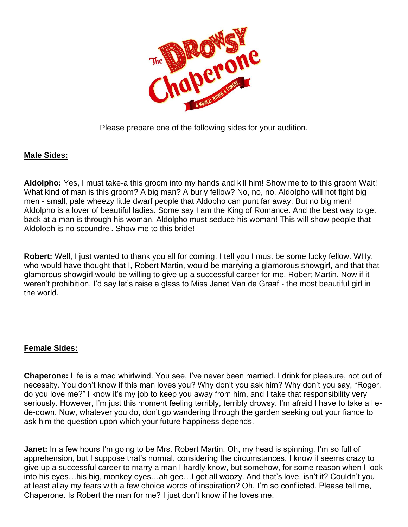

Please prepare one of the following sides for your audition.

## **Male Sides:**

**Aldolpho:** Yes, I must take-a this groom into my hands and kill him! Show me to to this groom Wait! What kind of man is this groom? A big man? A burly fellow? No, no, no. Aldolpho will not fight big men - small, pale wheezy little dwarf people that Aldopho can punt far away. But no big men! Aldolpho is a lover of beautiful ladies. Some say I am the King of Romance. And the best way to get back at a man is through his woman. Aldolpho must seduce his woman! This will show people that Aldoloph is no scoundrel. Show me to this bride!

**Robert:** Well, I just wanted to thank you all for coming. I tell you I must be some lucky fellow. WHy, who would have thought that I, Robert Martin, would be marrying a glamorous showgirl, and that that glamorous showgirl would be willing to give up a successful career for me, Robert Martin. Now if it weren't prohibition, I'd say let's raise a glass to Miss Janet Van de Graaf - the most beautiful girl in the world.

## **Female Sides:**

**Chaperone:** Life is a mad whirlwind. You see, I've never been married. I drink for pleasure, not out of necessity. You don't know if this man loves you? Why don't you ask him? Why don't you say, "Roger, do you love me?" I know it's my job to keep you away from him, and I take that responsibility very seriously. However, I'm just this moment feeling terribly, terribly drowsy. I'm afraid I have to take a liede-down. Now, whatever you do, don't go wandering through the garden seeking out your fiance to ask him the question upon which your future happiness depends.

**Janet:** In a few hours I'm going to be Mrs. Robert Martin. Oh, my head is spinning. I'm so full of apprehension, but I suppose that's normal, considering the circumstances. I know it seems crazy to give up a successful career to marry a man I hardly know, but somehow, for some reason when I look into his eyes…his big, monkey eyes…ah gee…I get all woozy. And that's love, isn't it? Couldn't you at least allay my fears with a few choice words of inspiration? Oh, I'm so conflicted. Please tell me, Chaperone. Is Robert the man for me? I just don't know if he loves me.